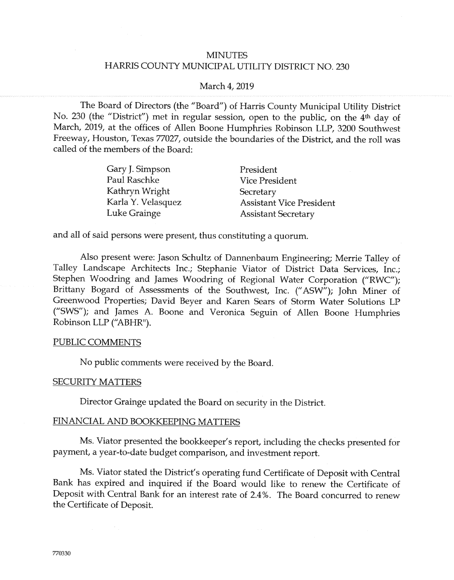## **MINUTES** HARRIS COUNTY MUNICIPAL UTILITY DISTRICT NO. 230

#### March 4, 2019

The Board of Directors (the "Board") of Harris County Municipal Utility District No. 230 (the "District") met in regular session, open to the public, on the 4<sup>th</sup> day of March, 2019, at the offices of Allen Boone Humphries Robinson LLP, 3200 Southwest Freeway, Houston, Texas 77027, outside the boundaries of the District, and the roll was called of the members of the Board:

| Gary J. Simpson    | President                       |
|--------------------|---------------------------------|
| Paul Raschke       | Vice President                  |
| Kathryn Wright     | Secretary                       |
| Karla Y. Velasquez | <b>Assistant Vice President</b> |
| Luke Grainge       | <b>Assistant Secretary</b>      |

and all of said persons were present, thus constituting a quorum.

Also present were: Jason Schultz of Dannenbaum Engineering; Merrie Talley of Talley Landscape Architects Inc.; Stephanie Viator of District Data Services, Inc.; Stephen Woodring and James Woodring of Regional Water Corporation ("RWC"); Brittany Bogard of Assessments of the Southwest, Inc. ("ASW"); John Miner of Greenwood Properties; David Beyer and Karen Sears of Storm Water Solutions LP ("SWS"); and James A. Boone and Veronica Seguin of Allen Boone Humphries Robinson LLP ("ABHR").

#### PUBLIC COMMENTS

No public comments were received by the Board.

#### **SECURITY MATTERS**

Director Grainge updated the Board on security in the District.

# FINANCIAL AND BOOKKEEPING MATTERS

Ms. Viator presented the bookkeeper's report, including the checks presented for payment, a year-to-date budget comparison, and investment report.

Ms. Viator stated the District's operating fund Certificate of Deposit with Central Bank has expired and inquired if the Board would like to renew the Certificate of Deposit with Central Bank for an interest rate of 2.4%. The Board concurred to renew the Certificate of Deposit.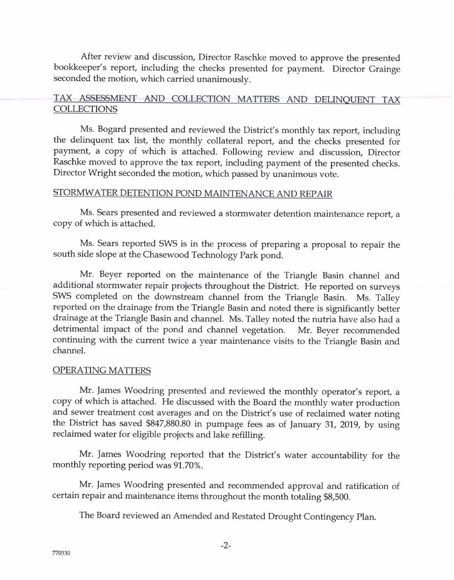After review and discussion, Director Raschke moved to approve the presented bookkeeper's report, including the checks presented for payment. Director Grainge seconded the motion, which carried unanimously.

# TAX ASSESSMENT AND COLLECTION MATTERS AND DELINQUENT TAX COLLECTIONS

Ms. Bogard presented and reviewed the District's monthly tax report, including the delinquent tax list, the monthly collateral report, and the checks presented for payment, a copy of which is attached. Following review and discussion, Director Raschke moved to approve the tax report, including payment of the presented checks. Director Wright seconded the motion, which passed by unanimous vote.

# STORMWATER DETENTION POND MAINTENANCE AND REPAIR

Ms. Sears presented and reviewed a stormwater detention maintenance report, a copy of which is attached.

Ms. Sears reported SWS is in the process of preparing a proposal to repair the south side slope at the Chasewood Technology Park pond.

Mr. Beyer reported on the maintenance of the Triangle Basin channel and additional stormwater repair projects throughout the District. He reported on surveys SWS completed on the downstream channel from the Triangle Basin. Ms. Talley reported on the drainage from the Triangle Basin and noted there is significantly better drainage at the Triangle Basin and channel. Ms. Talley noted the nutria have also had <sup>a</sup> detrimental impact of the pond and channel vegetation. Mr. Beyer recommended continuing with the current twice a year maintenance visits to the Triangle Basin and channel.

# OPERATING MATTERS

Mr. James Woodring presented and reviewed the monthly operator's report, a copy of which is attached. He discussed with the Board the monthly water production and sewer treatment cost averages and on the District's use of reclaimed water noting the District has saved \$847,880.80 in pumpage fees as of January 31, 2019, by using reclaimed water for eligible projects and lake refilling.

Mr. James Woodring reported that the District's water accountability for the monthly reporting period was 91.70%.

Mr. James Woodring presented and recommended approval and ratification of certain repair and maintenance items throughout the month totaling \$8,500.

The Board reviewed an Amended and Restated Drought Contingency Plan.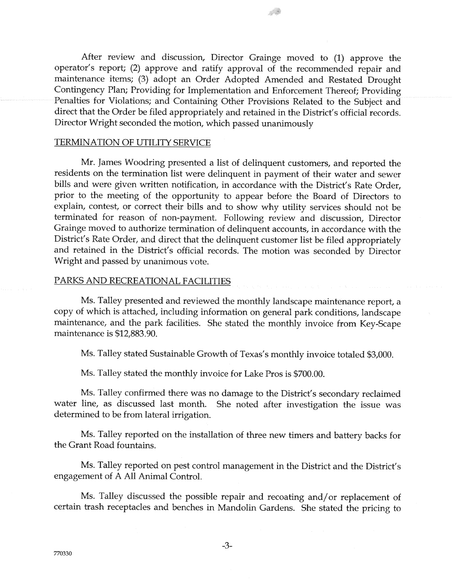After review and discussion, Director Grainge moved to (1) approve the operator's report; (2) approve and ratify approval of the recommended repair and maintenance items; (3) adopt an Order Adopted Amended and Restated Drought Contingency Plan; Providing for Implementation and Enforcement Thereof; Providing Penalties for Violations; and Containing Other Provisions Related to the Subject and direct that the Order be filed appropriately and retained in the District's official records. Director Wright seconded the motion, which passed unanimously

S.

## TERMINATION OF UTILITY SERVICE

Mr. James Woodring presented a list of delinquent customers, and reported the residents on the termination list were delinquent in payment of their water and sewer bills and were given written notification, in accordance with the District's Rate Order, prior to the meeting of the opportunity to appear before the Board of Directors to explain, contest, or correct their bills and to show why utility services should not be terminated for reason of non-payment. Following review and discussion, Director Grainge moved to authorize termination of delinquent accounts, in accordance with the District's Rate Order, and direct that the delinquent customer list be filed appropriately and retained in the District's official records. The motion was seconded by Director Wright and passed by unanimous vote.

#### PARKS AND RECREATIONAL FACILITIES

Ms. Talley presented and reviewed the monthly landscape maintenance report, a copy of which is attached, including information on general park conditions, landscape maintenance, and the park facilities. She stated the monthly invoice from Key-Scape maintenance is \$12,883.90.

Ms. Talley stated Sustainable Growth of Texas's monthly invoice totaled \$3,000.

Ms. Talley stated the monthly invoice for Lake Pros is \$700.00.

Ms. Talley confirmed there was no damage to the District's secondary reclaimed water line, as discussed last month. She noted after investigation the issue was determined to be from lateral irrigation.

Ms. Talley reported on the installation of three new timers and battery backs for the Grant Road fountains.

Ms. Talley reported on pest control management in the District and the District's engagement of A All Animal Control.

Ms. Talley discussed the possible repair and recoating and/or replacement of certain trash receptacles and benches in Mandolin Gardens. She stated the pricing to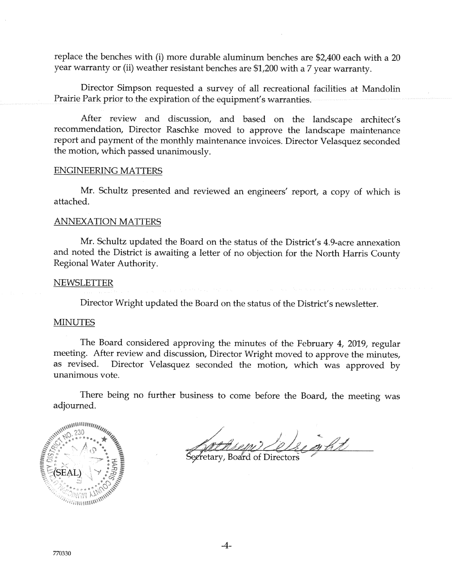replace the benches with (i) more durable aluminum benches are  $$2,400$  each with a 20 year warranty or (ii) weather resistant benches are \$1,200 with a 7 year warranty.

Director Simpson requested a survey of all recreational facilities at Mandolin Prairie Park prior to the expiration of the equipment's warranties.

After review and discussion, and based on the landscape architect's recommendation, Director Raschke moved to approve the landscape maintenance report and payment of the manthly maintenance invoices. Director Yelasquez seconded the motion, which passed unanimously.

#### ENGINEERING MATTERS

Mr. Schultz presented and reviewed an engineers' report, a copy of which is attached.

## ANNEXATION MATTERS

Mr. Schultz updated the Board on the status of the District's 4.9-acre annexation and noted the District is awaiting a letter of no objection for the North Harris County Regional Water Authority.

## **NEWSLETTER**

Director Wright updated the Board on the status of the District's newsletter.

## MINUTES

The Board considered approving the minutes of the February 4, 2019, regular meeting. After review and discussion, Director Wright moved to approve the minutes, as revised. Director Velasquez seconded the motion, which was approved by unanimous vote.

There being no further business to come before the Board, the meeting was adjourned.



Cluart

Secretary, Board of Directors